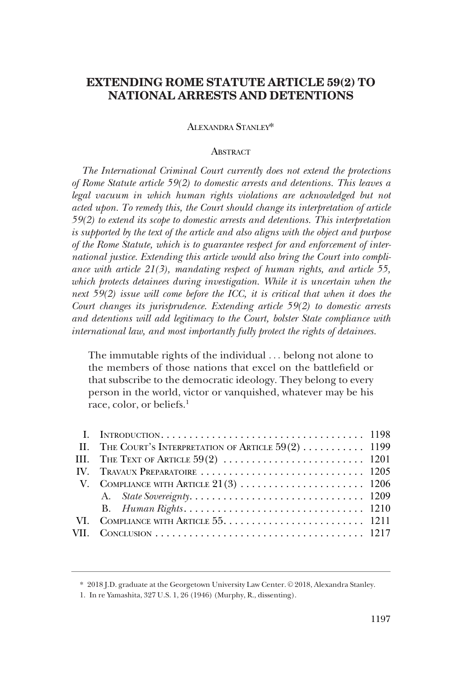# **EXTENDING ROME STATUTE ARTICLE 59(2) TO NATIONAL ARRESTS AND DETENTIONS**

### ALEXANDRA STANLEY\*

# **ABSTRACT**

*The International Criminal Court currently does not extend the protections of Rome Statute article 59(2) to domestic arrests and detentions. This leaves a*  legal vacuum in which human rights violations are acknowledged but not *acted upon. To remedy this, the Court should change its interpretation of article 59(2) to extend its scope to domestic arrests and detentions. This interpretation is supported by the text of the article and also aligns with the object and purpose of the Rome Statute, which is to guarantee respect for and enforcement of international justice. Extending this article would also bring the Court into compliance with article 21(3), mandating respect of human rights, and article 55,*  which protects detainees during investigation. While it is uncertain when the *next 59(2) issue will come before the ICC, it is critical that when it does the Court changes its jurisprudence. Extending article 59(2) to domestic arrests and detentions will add legitimacy to the Court, bolster State compliance with international law, and most importantly fully protect the rights of detainees.* 

The immutable rights of the individual . . . belong not alone to the members of those nations that excel on the battlefield or that subscribe to the democratic ideology. They belong to every person in the world, victor or vanquished, whatever may be his race, color, or beliefs.<sup>1</sup>

| II. THE COURT'S INTERPRETATION OF ARTICLE $59(2)$ 1199 |  |
|--------------------------------------------------------|--|
|                                                        |  |
|                                                        |  |
|                                                        |  |
|                                                        |  |
|                                                        |  |
|                                                        |  |
|                                                        |  |
|                                                        |  |

<sup>\* 2018</sup> J.D. graduate at the Georgetown University Law Center. © 2018, Alexandra Stanley.

<sup>1.</sup> In re Yamashita, 327 U.S. 1, 26 (1946) (Murphy, R., dissenting).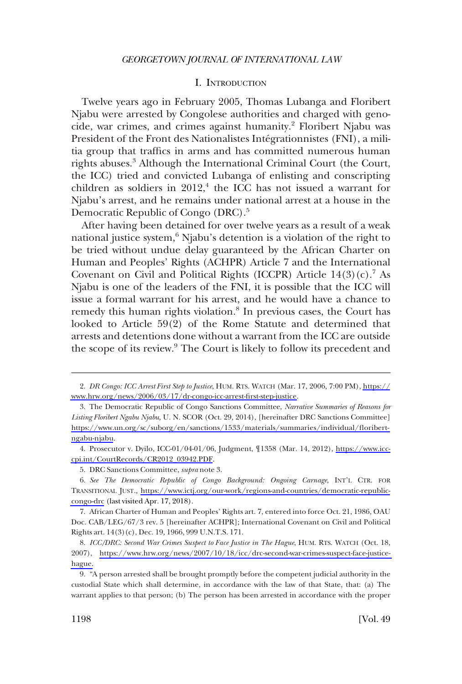### I. INTRODUCTION

<span id="page-1-0"></span>Twelve years ago in February 2005, Thomas Lubanga and Floribert Njabu were arrested by Congolese authorities and charged with genocide, war crimes, and crimes against humanity.<sup>2</sup> Floribert Njabu was President of the Front des Nationalistes Intégrationnistes (FNI), a militia group that traffics in arms and has committed numerous human rights abuses.<sup>3</sup> Although the International Criminal Court (the Court, the ICC) tried and convicted Lubanga of enlisting and conscripting children as soldiers in  $2012<sup>4</sup>$ , the ICC has not issued a warrant for Njabu's arrest, and he remains under national arrest at a house in the Democratic Republic of Congo (DRC).<sup>5</sup>

After having been detained for over twelve years as a result of a weak national justice system,<sup>6</sup> Njabu's detention is a violation of the right to be tried without undue delay guaranteed by the African Charter on Human and Peoples' Rights (ACHPR) Article 7 and the International Covenant on Civil and Political Rights (ICCPR) Article  $14(3)(c)$ .<sup>7</sup> As Njabu is one of the leaders of the FNI, it is possible that the ICC will issue a formal warrant for his arrest, and he would have a chance to remedy this human rights violation.<sup>8</sup> In previous cases, the Court has looked to Article 59(2) of the Rome Statute and determined that arrests and detentions done without a warrant from the ICC are outside the scope of its review.<sup>9</sup> The Court is likely to follow its precedent and

*DR Congo: ICC Arrest First Step to Justice*, HUM. RTS. WATCH (Mar. 17, 2006, 7:00 PM), [https://](https://www.hrw.org/news/2006/03/17/dr-congo-icc-arrest-first-step-justice) 2. [www.hrw.org/news/2006/03/17/dr-congo-icc-arrest-first-step-justice](https://www.hrw.org/news/2006/03/17/dr-congo-icc-arrest-first-step-justice).

<sup>3.</sup> The Democratic Republic of Congo Sanctions Committee, *Narrative Summaries of Reasons for Listing Floribert Ngabu Njabu*, U. N. SCOR (Oct. 29, 2014), [hereinafter DRC Sanctions Committee] [https://www.un.org/sc/suborg/en/sanctions/1533/materials/summaries/individual/floribert](https://www.un.org/sc/suborg/en/sanctions/1533/materials/summaries/individual/floribert-ngabu-njabu)[ngabu-njabu](https://www.un.org/sc/suborg/en/sanctions/1533/materials/summaries/individual/floribert-ngabu-njabu).

Prosecutor v. Dyilo, ICC-01/04-01/06, Judgment, ¶1358 (Mar. 14, 2012), [https://www.icc-](https://www.icc-cpi.int/CourtRecords/CR2012_03942.PDF)4. [cpi.int/CourtRecords/CR2012\\_03942.PDF.](https://www.icc-cpi.int/CourtRecords/CR2012_03942.PDF)

<sup>5.</sup> DRC Sanctions Committee, *supra* note 3.

*See The Democratic Republic of Congo Background: Ongoing Carnage*, INT'L CTR. FOR 6. TRANSITIONAL JUST., [https://www.ictj.org/our-work/regions-and-countries/democratic-republic](https://www.ictj.org/our-work/regions-and-countries/democratic-republic-congo-drc)[congo-drc](https://www.ictj.org/our-work/regions-and-countries/democratic-republic-congo-drc) (last visited Apr. 17, 2018).

<sup>7.</sup> African Charter of Human and Peoples' Rights art. 7, entered into force Oct. 21, 1986, OAU Doc. CAB/LEG/67/3 rev. 5 [hereinafter ACHPR]; International Covenant on Civil and Political Rights art. 14(3)(c), Dec. 19, 1966, 999 U.N.T.S. 171.

*ICC/DRC: Second War Crimes Suspect to Face Justice in The Hague*, HUM. RTS. WATCH (Oct. 18, 8. 2007), [https://www.hrw.org/news/2007/10/18/icc/drc-second-war-crimes-suspect-face-justice](https://www.hrw.org/news/2007/10/18/icc/drc-second-war-crimes-suspect-face-justice-hague)[hague.](https://www.hrw.org/news/2007/10/18/icc/drc-second-war-crimes-suspect-face-justice-hague)

<sup>9. &</sup>quot;A person arrested shall be brought promptly before the competent judicial authority in the custodial State which shall determine, in accordance with the law of that State, that: (a) The warrant applies to that person; (b) The person has been arrested in accordance with the proper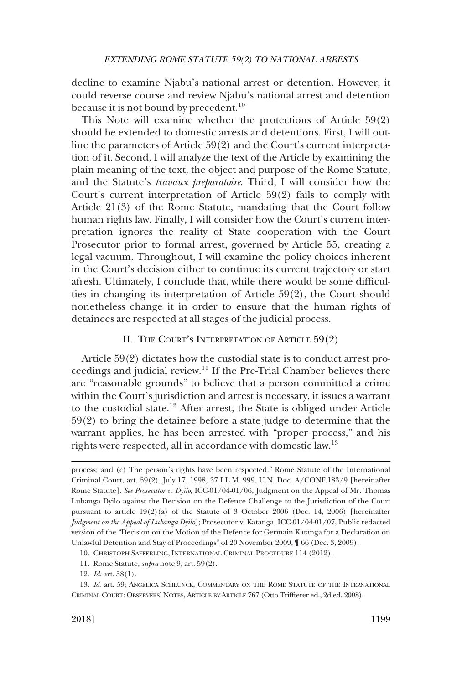<span id="page-2-0"></span>decline to examine Njabu's national arrest or detention. However, it could reverse course and review Njabu's national arrest and detention because it is not bound by precedent.<sup>10</sup>

This Note will examine whether the protections of Article 59(2) should be extended to domestic arrests and detentions. First, I will outline the parameters of Article 59(2) and the Court's current interpretation of it. Second, I will analyze the text of the Article by examining the plain meaning of the text, the object and purpose of the Rome Statute, and the Statute's *travaux preparatoire*. Third, I will consider how the Court's current interpretation of Article 59(2) fails to comply with Article 21(3) of the Rome Statute, mandating that the Court follow human rights law. Finally, I will consider how the Court's current interpretation ignores the reality of State cooperation with the Court Prosecutor prior to formal arrest, governed by Article 55, creating a legal vacuum. Throughout, I will examine the policy choices inherent in the Court's decision either to continue its current trajectory or start afresh. Ultimately, I conclude that, while there would be some difficulties in changing its interpretation of Article 59(2), the Court should nonetheless change it in order to ensure that the human rights of detainees are respected at all stages of the judicial process.

### II. THE COURT'S INTERPRETATION OF ARTICLE 59(2)

Article 59(2) dictates how the custodial state is to conduct arrest proceedings and judicial review.11 If the Pre-Trial Chamber believes there are "reasonable grounds" to believe that a person committed a crime within the Court's jurisdiction and arrest is necessary, it issues a warrant to the custodial state.12 After arrest, the State is obliged under Article 59(2) to bring the detainee before a state judge to determine that the warrant applies, he has been arrested with "proper process," and his rights were respected, all in accordance with domestic law.<sup>13</sup>

11. Rome Statute, *supra* note 9, art. 59(2).

process; and (c) The person's rights have been respected." Rome Statute of the International Criminal Court, art. 59(2), July 17, 1998, 37 I.L.M. 999, U.N. Doc. A/CONF.183/9 [hereinafter Rome Statute]. *See Prosecutor v. Dyilo*, ICC-01/04-01/06, Judgment on the Appeal of Mr. Thomas Lubanga Dyilo against the Decision on the Defence Challenge to the Jurisdiction of the Court pursuant to article 19(2)(a) of the Statute of 3 October 2006 (Dec. 14, 2006) [hereinafter *Judgment on the Appeal of Lubanga Dyilo*]; Prosecutor v. Katanga, ICC-01/04-01/07, Public redacted version of the "Decision on the Motion of the Defence for Germain Katanga for a Declaration on Unlawful Detention and Stay of Proceedings" of 20 November 2009, ¶ 66 (Dec. 3, 2009).

<sup>10.</sup> CHRISTOPH SAFFERLING, INTERNATIONAL CRIMINAL PROCEDURE 114 (2012).

<sup>12.</sup> *Id*. art. 58(1).

<sup>13.</sup> *Id*. art. 59; ANGELICA SCHLUNCK, COMMENTARY ON THE ROME STATUTE OF THE INTERNATIONAL CRIMINAL COURT: OBSERVERS' NOTES, ARTICLE BY ARTICLE 767 (Otto Triffterer ed., 2d ed. 2008).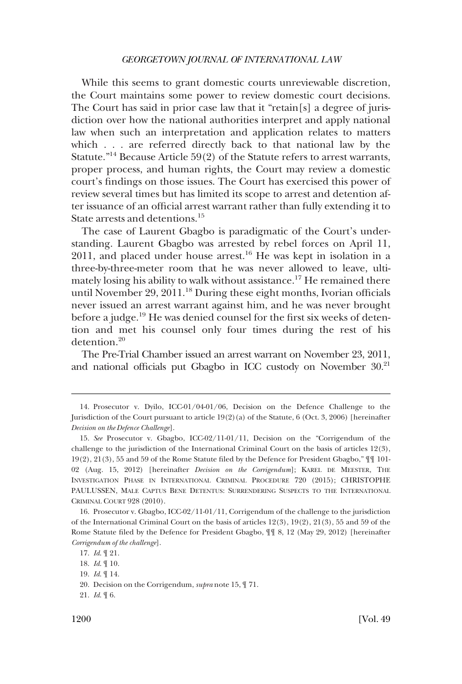While this seems to grant domestic courts unreviewable discretion, the Court maintains some power to review domestic court decisions. The Court has said in prior case law that it "retain[s] a degree of jurisdiction over how the national authorities interpret and apply national law when such an interpretation and application relates to matters which . . . are referred directly back to that national law by the Statute."<sup>14</sup> Because Article  $59(2)$  of the Statute refers to arrest warrants, proper process, and human rights, the Court may review a domestic court's findings on those issues. The Court has exercised this power of review several times but has limited its scope to arrest and detention after issuance of an official arrest warrant rather than fully extending it to State arrests and detentions.<sup>15</sup>

The case of Laurent Gbagbo is paradigmatic of the Court's understanding. Laurent Gbagbo was arrested by rebel forces on April 11,  $2011$ , and placed under house arrest.<sup>16</sup> He was kept in isolation in a three-by-three-meter room that he was never allowed to leave, ultimately losing his ability to walk without assistance.<sup>17</sup> He remained there until November 29, 2011.<sup>18</sup> During these eight months, Ivorian officials never issued an arrest warrant against him, and he was never brought before a judge.<sup>19</sup> He was denied counsel for the first six weeks of detention and met his counsel only four times during the rest of his detention.20

The Pre-Trial Chamber issued an arrest warrant on November 23, 2011, and national officials put Gbagbo in ICC custody on November 30.<sup>21</sup>

<sup>14.</sup> Prosecutor v. Dyilo, ICC-01/04-01/06, Decision on the Defence Challenge to the Jurisdiction of the Court pursuant to article 19(2)(a) of the Statute, 6 (Oct. 3, 2006) [hereinafter *Decision on the Defence Challenge*].

<sup>15.</sup> *See* Prosecutor v. Gbagbo, ICC-02/11-01/11, Decision on the "Corrigendum of the challenge to the jurisdiction of the International Criminal Court on the basis of articles 12(3), 19(2), 21(3), 55 and 59 of the Rome Statute filed by the Defence for President Gbagbo," ¶¶ 101- 02 (Aug. 15, 2012) [hereinafter *Decision on the Corrigendum*]; KAREL DE MEESTER, THE INVESTIGATION PHASE IN INTERNATIONAL CRIMINAL PROCEDURE 720 (2015); CHRISTOPHE PAULUSSEN, MALE CAPTUS BENE DETENTUS: SURRENDERING SUSPECTS TO THE INTERNATIONAL CRIMINAL COURT 928 (2010).

<sup>16.</sup> Prosecutor v. Gbagbo, ICC-02/11-01/11, Corrigendum of the challenge to the jurisdiction of the International Criminal Court on the basis of articles 12(3), 19(2), 21(3), 55 and 59 of the Rome Statute filed by the Defence for President Gbagbo, ¶¶ 8, 12 (May 29, 2012) [hereinafter *Corrigendum of the challenge*].

<sup>17.</sup> *Id*. ¶ 21.

<sup>18.</sup> *Id*. ¶ 10.

<sup>19.</sup> *Id*. ¶ 14.

<sup>20.</sup> Decision on the Corrigendum, *supra* note 15, ¶ 71.

<sup>21.</sup> *Id*. ¶ 6.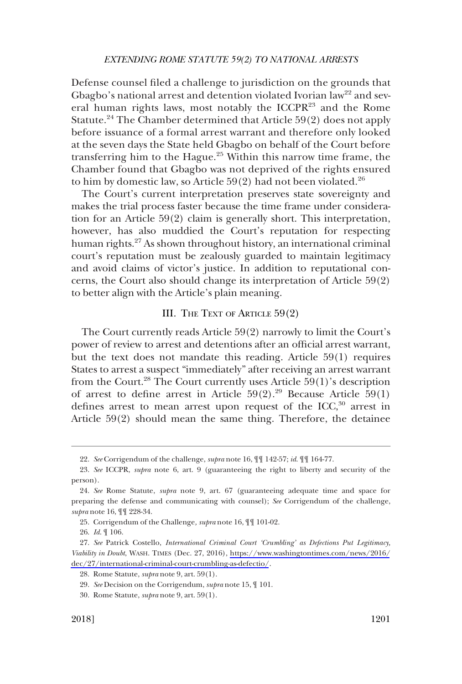<span id="page-4-0"></span>Defense counsel filed a challenge to jurisdiction on the grounds that Gbagbo's national arrest and detention violated Ivorian law<sup>22</sup> and several human rights laws, most notably the ICCPR23 and the Rome Statute.<sup>24</sup> The Chamber determined that Article 59(2) does not apply before issuance of a formal arrest warrant and therefore only looked at the seven days the State held Gbagbo on behalf of the Court before transferring him to the Hague.<sup>25</sup> Within this narrow time frame, the Chamber found that Gbagbo was not deprived of the rights ensured to him by domestic law, so Article  $59(2)$  had not been violated.<sup>26</sup>

The Court's current interpretation preserves state sovereignty and makes the trial process faster because the time frame under consideration for an Article 59(2) claim is generally short. This interpretation, however, has also muddied the Court's reputation for respecting human rights.<sup>27</sup> As shown throughout history, an international criminal court's reputation must be zealously guarded to maintain legitimacy and avoid claims of victor's justice. In addition to reputational concerns, the Court also should change its interpretation of Article 59(2) to better align with the Article's plain meaning.

### III. THE TEXT OF ARTICLE 59(2)

The Court currently reads Article 59(2) narrowly to limit the Court's power of review to arrest and detentions after an official arrest warrant, but the text does not mandate this reading. Article 59(1) requires States to arrest a suspect "immediately" after receiving an arrest warrant from the Court.<sup>28</sup> The Court currently uses Article  $59(1)$ 's description of arrest to define arrest in Article  $59(2).^{29}$  Because Article  $59(1)$ defines arrest to mean arrest upon request of the ICC, $30$  arrest in Article 59(2) should mean the same thing. Therefore, the detainee

<sup>22.</sup> *See* Corrigendum of the challenge, *supra* note 16, ¶¶ 142-57; *id*. ¶¶ 164-77.

<sup>23.</sup> *See* ICCPR, *supra* note 6, art. 9 (guaranteeing the right to liberty and security of the person).

<sup>24.</sup> *See* Rome Statute, *supra* note 9, art. 67 (guaranteeing adequate time and space for preparing the defense and communicating with counsel); *See* Corrigendum of the challenge, *supra* note 16, ¶¶ 228-34.

<sup>25.</sup> Corrigendum of the Challenge*, supra* note 16, ¶¶ 101-02.

<sup>26.</sup> *Id*. ¶ 106.

<sup>27.</sup> See Patrick Costello, *International Criminal Court 'Crumbling' as Defections Put Legitimacy*, *Viability in Doubt*, WASH. TIMES (Dec. 27, 2016), [https://www.washingtontimes.com/news/2016/](https://www.washingtontimes.com/news/2016/dec/27/international-criminal-court-crumbling-as-defectio/)  ${\rm dec}/27/{\rm intermational-criminal-court-crumbling-as-defectio/}.$ 

<sup>28.</sup> Rome Statute, *supra* note 9, art. 59(1).

<sup>29.</sup> *See* Decision on the Corrigendum, *supra* note 15, ¶ 101.

<sup>30.</sup> Rome Statute, *supra* note 9, art. 59(1).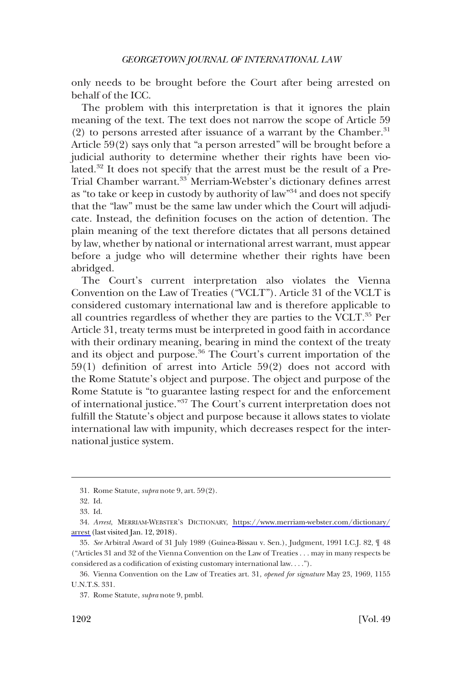only needs to be brought before the Court after being arrested on behalf of the ICC.

The problem with this interpretation is that it ignores the plain meaning of the text. The text does not narrow the scope of Article 59 (2) to persons arrested after issuance of a warrant by the Chamber.<sup>31</sup> Article 59(2) says only that "a person arrested" will be brought before a judicial authority to determine whether their rights have been violated.32 It does not specify that the arrest must be the result of a Pre-Trial Chamber warrant.<sup>33</sup> Merriam-Webster's dictionary defines arrest as "to take or keep in custody by authority of law"<sup>34</sup> and does not specify that the "law" must be the same law under which the Court will adjudicate. Instead, the definition focuses on the action of detention. The plain meaning of the text therefore dictates that all persons detained by law, whether by national or international arrest warrant, must appear before a judge who will determine whether their rights have been abridged.

The Court's current interpretation also violates the Vienna Convention on the Law of Treaties ("VCLT"). Article 31 of the VCLT is considered customary international law and is therefore applicable to all countries regardless of whether they are parties to the VCLT. $^{35}$  Per Article 31, treaty terms must be interpreted in good faith in accordance with their ordinary meaning, bearing in mind the context of the treaty and its object and purpose.<sup>36</sup> The Court's current importation of the 59(1) definition of arrest into Article 59(2) does not accord with the Rome Statute's object and purpose. The object and purpose of the Rome Statute is "to guarantee lasting respect for and the enforcement of international justice."37 The Court's current interpretation does not fulfill the Statute's object and purpose because it allows states to violate international law with impunity, which decreases respect for the international justice system.

<sup>31.</sup> Rome Statute, *supra* note 9, art. 59(2).

<sup>32.</sup> Id.

<sup>33.</sup> Id.

*Arrest*, MERRIAM-WEBSTER'S DICTIONARY, [https://www.merriam-webster.com/dictionary/](https://www.merriam-webster.com/dictionary/arrest) 34. [arrest](https://www.merriam-webster.com/dictionary/arrest) (last visited Jan. 12, 2018).

<sup>35.</sup> *See* Arbitral Award of 31 July 1989 (Guinea-Bissau v. Sen.), Judgment, 1991 I.C.J. 82, ¶ 48 ("Articles 31 and 32 of the Vienna Convention on the Law of Treaties . . . may in many respects be considered as a codification of existing customary international law. . . .").

<sup>36.</sup> Vienna Convention on the Law of Treaties art. 31, *opened for signature* May 23, 1969, 1155 U.N.T.S. 331.

<sup>37.</sup> Rome Statute, *supra* note 9, pmbl.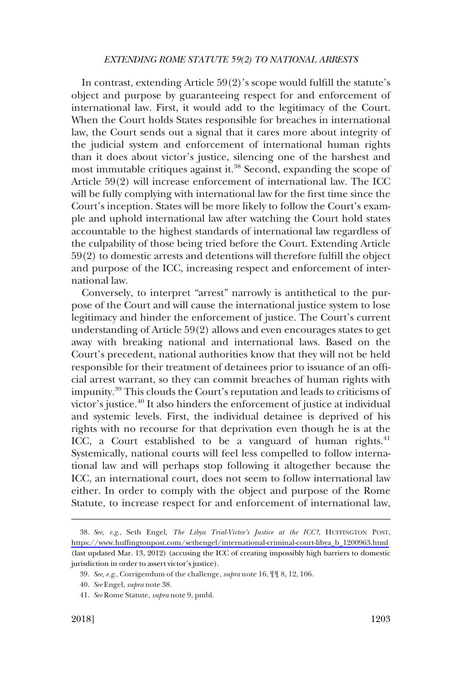### *EXTENDING ROME STATUTE 59(2) TO NATIONAL ARRESTS*

In contrast, extending Article 59(2)'s scope would fulfill the statute's object and purpose by guaranteeing respect for and enforcement of international law. First, it would add to the legitimacy of the Court. When the Court holds States responsible for breaches in international law, the Court sends out a signal that it cares more about integrity of the judicial system and enforcement of international human rights than it does about victor's justice, silencing one of the harshest and most immutable critiques against it.<sup>38</sup> Second, expanding the scope of Article 59(2) will increase enforcement of international law. The ICC will be fully complying with international law for the first time since the Court's inception. States will be more likely to follow the Court's example and uphold international law after watching the Court hold states accountable to the highest standards of international law regardless of the culpability of those being tried before the Court. Extending Article 59(2) to domestic arrests and detentions will therefore fulfill the object and purpose of the ICC, increasing respect and enforcement of international law.

Conversely, to interpret "arrest" narrowly is antithetical to the purpose of the Court and will cause the international justice system to lose legitimacy and hinder the enforcement of justice. The Court's current understanding of Article 59(2) allows and even encourages states to get away with breaking national and international laws. Based on the Court's precedent, national authorities know that they will not be held responsible for their treatment of detainees prior to issuance of an official arrest warrant, so they can commit breaches of human rights with impunity.39 This clouds the Court's reputation and leads to criticisms of victor's justice.40 It also hinders the enforcement of justice at individual and systemic levels. First, the individual detainee is deprived of his rights with no recourse for that deprivation even though he is at the ICC, a Court established to be a vanguard of human rights. $41$ Systemically, national courts will feel less compelled to follow international law and will perhaps stop following it altogether because the ICC, an international court, does not seem to follow international law either. In order to comply with the object and purpose of the Rome Statute, to increase respect for and enforcement of international law,

*See, e.g*., Seth Engel, *The Libya Trial-Victor's Justice at the ICC?*, HUFFINGTON POST, 38. [https://www.huffingtonpost.com/sethengel/international-criminal-court-libya\\_b\\_1200963.html](https://www.huffingtonpost.com/sethengel/international-criminal-court-libya_b_1200963.html)  (last updated Mar. 13, 2012) (accusing the ICC of creating impossibly high barriers to domestic jurisdiction in order to assert victor's justice).

<sup>39.</sup> *See, e.g*., Corrigendum of the challenge, *supra* note 16, ¶¶ 8, 12, 106.

<sup>40.</sup> *See* Engel, *supra* note 38.

<sup>41.</sup> *See* Rome Statute, *supra* note 9, pmbl.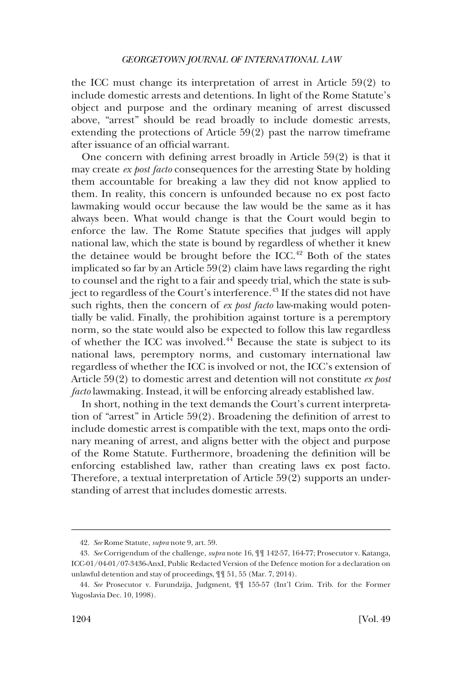the ICC must change its interpretation of arrest in Article 59(2) to include domestic arrests and detentions. In light of the Rome Statute's object and purpose and the ordinary meaning of arrest discussed above, "arrest" should be read broadly to include domestic arrests, extending the protections of Article 59(2) past the narrow timeframe after issuance of an official warrant.

One concern with defining arrest broadly in Article 59(2) is that it may create *ex post facto* consequences for the arresting State by holding them accountable for breaking a law they did not know applied to them. In reality, this concern is unfounded because no ex post facto lawmaking would occur because the law would be the same as it has always been. What would change is that the Court would begin to enforce the law. The Rome Statute specifies that judges will apply national law, which the state is bound by regardless of whether it knew the detainee would be brought before the ICC.<sup>42</sup> Both of the states implicated so far by an Article 59(2) claim have laws regarding the right to counsel and the right to a fair and speedy trial, which the state is subject to regardless of the Court's interference.<sup>43</sup> If the states did not have such rights, then the concern of *ex post facto* law-making would potentially be valid. Finally, the prohibition against torture is a peremptory norm, so the state would also be expected to follow this law regardless of whether the ICC was involved.44 Because the state is subject to its national laws, peremptory norms, and customary international law regardless of whether the ICC is involved or not, the ICC's extension of Article 59(2) to domestic arrest and detention will not constitute *ex post facto* lawmaking. Instead, it will be enforcing already established law.

In short, nothing in the text demands the Court's current interpretation of "arrest" in Article 59(2). Broadening the definition of arrest to include domestic arrest is compatible with the text, maps onto the ordinary meaning of arrest, and aligns better with the object and purpose of the Rome Statute. Furthermore, broadening the definition will be enforcing established law, rather than creating laws ex post facto. Therefore, a textual interpretation of Article 59(2) supports an understanding of arrest that includes domestic arrests.

<sup>42.</sup> *See* Rome Statute, *supra* note 9, art. 59.

<sup>43.</sup> *See* Corrigendum of the challenge, *supra* note 16, ¶¶ 142-57, 164-77; Prosecutor v. Katanga, ICC-01/04-01/07-3436-AnxI, Public Redacted Version of the Defence motion for a declaration on unlawful detention and stay of proceedings, ¶¶ 51, 55 (Mar. 7, 2014).

<sup>44.</sup> *See* Prosecutor v. Furundzija, Judgment, ¶¶ 155-57 (Int'l Crim. Trib. for the Former Yugoslavia Dec. 10, 1998).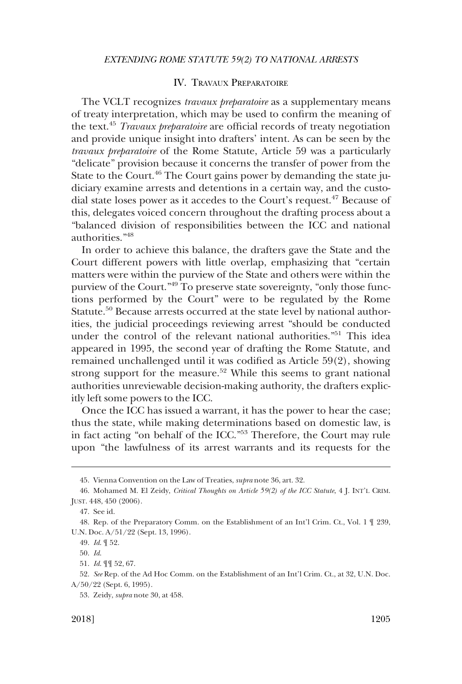### IV. TRAVAUX PREPARATOIRE

<span id="page-8-0"></span>The VCLT recognizes *travaux preparatoire* as a supplementary means of treaty interpretation, which may be used to confirm the meaning of the text.45 *Travaux preparatoire* are official records of treaty negotiation and provide unique insight into drafters' intent. As can be seen by the *travaux preparatoire* of the Rome Statute, Article 59 was a particularly "delicate" provision because it concerns the transfer of power from the State to the Court.<sup>46</sup> The Court gains power by demanding the state judiciary examine arrests and detentions in a certain way, and the custodial state loses power as it accedes to the Court's request.<sup>47</sup> Because of this, delegates voiced concern throughout the drafting process about a "balanced division of responsibilities between the ICC and national authorities."48

In order to achieve this balance, the drafters gave the State and the Court different powers with little overlap, emphasizing that "certain matters were within the purview of the State and others were within the purview of the Court."49 To preserve state sovereignty, "only those functions performed by the Court" were to be regulated by the Rome Statute.<sup>50</sup> Because arrests occurred at the state level by national authorities, the judicial proceedings reviewing arrest "should be conducted under the control of the relevant national authorities."51 This idea appeared in 1995, the second year of drafting the Rome Statute, and remained unchallenged until it was codified as Article 59(2), showing strong support for the measure.<sup>52</sup> While this seems to grant national authorities unreviewable decision-making authority, the drafters explicitly left some powers to the ICC.

Once the ICC has issued a warrant, it has the power to hear the case; thus the state, while making determinations based on domestic law, is in fact acting "on behalf of the ICC."53 Therefore, the Court may rule upon "the lawfulness of its arrest warrants and its requests for the

49. *Id*. ¶ 52.

50. *Id*.

<sup>45.</sup> Vienna Convention on the Law of Treaties, *supra* note 36, art. 32.

<sup>46.</sup> Mohamed M. El Zeidy, *Critical Thoughts on Article 59(2) of the ICC Statute*, 4 J. INT'L CRIM. JUST. 448, 450 (2006).

<sup>47.</sup> See id.

<sup>48.</sup> Rep. of the Preparatory Comm. on the Establishment of an Int'l Crim. Ct., Vol. 1 ¶ 239, U.N. Doc. A/51/22 (Sept. 13, 1996).

<sup>51.</sup> *Id*. ¶¶ 52, 67.

<sup>52.</sup> *See* Rep. of the Ad Hoc Comm. on the Establishment of an Int'l Crim. Ct., at 32, U.N. Doc. A/50/22 (Sept. 6, 1995).

<sup>53.</sup> Zeidy, *supra* note 30, at 458.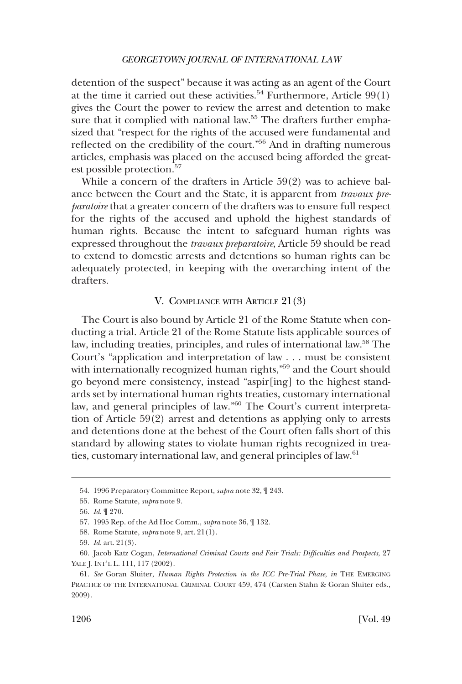<span id="page-9-0"></span>detention of the suspect" because it was acting as an agent of the Court at the time it carried out these activities.<sup>54</sup> Furthermore, Article  $99(1)$ gives the Court the power to review the arrest and detention to make sure that it complied with national law.<sup>55</sup> The drafters further emphasized that "respect for the rights of the accused were fundamental and reflected on the credibility of the court."56 And in drafting numerous articles, emphasis was placed on the accused being afforded the greatest possible protection.<sup>57</sup>

While a concern of the drafters in Article 59(2) was to achieve balance between the Court and the State, it is apparent from *travaux preparatoire* that a greater concern of the drafters was to ensure full respect for the rights of the accused and uphold the highest standards of human rights. Because the intent to safeguard human rights was expressed throughout the *travaux preparatoire*, Article 59 should be read to extend to domestic arrests and detentions so human rights can be adequately protected, in keeping with the overarching intent of the drafters.

## V. COMPLIANCE WITH ARTICLE 21(3)

The Court is also bound by Article 21 of the Rome Statute when conducting a trial. Article 21 of the Rome Statute lists applicable sources of law, including treaties, principles, and rules of international law.<sup>58</sup> The Court's "application and interpretation of law . . . must be consistent with internationally recognized human rights,<sup>"59</sup> and the Court should go beyond mere consistency, instead "aspir[ing] to the highest standards set by international human rights treaties, customary international law, and general principles of law."60 The Court's current interpretation of Article 59(2) arrest and detentions as applying only to arrests and detentions done at the behest of the Court often falls short of this standard by allowing states to violate human rights recognized in treaties, customary international law, and general principles of law.<sup>61</sup>

<sup>54. 1996</sup> Preparatory Committee Report, *supra* note 32, ¶ 243.

<sup>55.</sup> Rome Statute, *supra* note 9.

<sup>56.</sup> *Id*. ¶ 270.

<sup>57. 1995</sup> Rep. of the Ad Hoc Comm., *supra* note 36, ¶ 132.

<sup>58.</sup> Rome Statute, *supra* note 9, art. 21(1).

<sup>59.</sup> *Id*. art. 21(3).

<sup>60.</sup> Jacob Katz Cogan, *International Criminal Courts and Fair Trials: Difficulties and Prospects*, 27 YALE J. INT'L L. 111, 117 (2002).

<sup>61.</sup> *See* Goran Sluiter, *Human Rights Protection in the ICC Pre-Trial Phase*, *in* THE EMERGING PRACTICE OF THE INTERNATIONAL CRIMINAL COURT 459, 474 (Carsten Stahn & Goran Sluiter eds., 2009).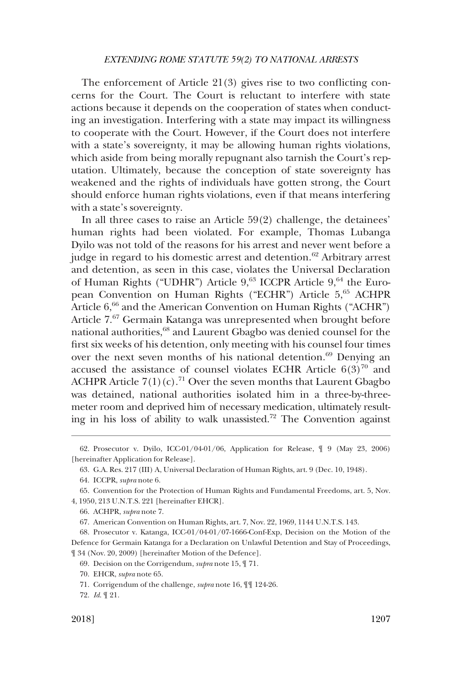### *EXTENDING ROME STATUTE 59(2) TO NATIONAL ARRESTS*

The enforcement of Article 21(3) gives rise to two conflicting concerns for the Court. The Court is reluctant to interfere with state actions because it depends on the cooperation of states when conducting an investigation. Interfering with a state may impact its willingness to cooperate with the Court. However, if the Court does not interfere with a state's sovereignty, it may be allowing human rights violations, which aside from being morally repugnant also tarnish the Court's reputation. Ultimately, because the conception of state sovereignty has weakened and the rights of individuals have gotten strong, the Court should enforce human rights violations, even if that means interfering with a state's sovereignty.

In all three cases to raise an Article 59(2) challenge, the detainees' human rights had been violated. For example, Thomas Lubanga Dyilo was not told of the reasons for his arrest and never went before a judge in regard to his domestic arrest and detention.<sup>62</sup> Arbitrary arrest and detention, as seen in this case, violates the Universal Declaration of Human Rights ("UDHR") Article 9,<sup>63</sup> ICCPR Article 9,<sup>64</sup> the European Convention on Human Rights ("ECHR") Article 5,<sup>65</sup> ACHPR Article 6,<sup>66</sup> and the American Convention on Human Rights ("ACHR") Article 7.67 Germain Katanga was unrepresented when brought before national authorities,<sup>68</sup> and Laurent Gbagbo was denied counsel for the first six weeks of his detention, only meeting with his counsel four times over the next seven months of his national detention.<sup>69</sup> Denying an accused the assistance of counsel violates ECHR Article  $6(3)^{70}$  and ACHPR Article  $7(1)(c)$ .<sup>71</sup> Over the seven months that Laurent Gbagbo was detained, national authorities isolated him in a three-by-threemeter room and deprived him of necessary medication, ultimately resulting in his loss of ability to walk unassisted.72 The Convention against

<sup>62.</sup> Prosecutor v. Dyilo, ICC-01/04-01/06, Application for Release, ¶ 9 (May 23, 2006) [hereinafter Application for Release].

<sup>63.</sup> G.A. Res. 217 (III) A, Universal Declaration of Human Rights, art. 9 (Dec. 10, 1948).

<sup>64.</sup> ICCPR, *supra* note 6.

<sup>65.</sup> Convention for the Protection of Human Rights and Fundamental Freedoms, art. 5, Nov. 4, 1950, 213 U.N.T.S. 221 [hereinafter EHCR].

<sup>66.</sup> ACHPR, *supra* note 7.

<sup>67.</sup> American Convention on Human Rights, art. 7, Nov. 22, 1969, 1144 U.N.T.S. 143.

<sup>68.</sup> Prosecutor v. Katanga, ICC-01/04-01/07-1666-Conf-Exp, Decision on the Motion of the Defence for Germain Katanga for a Declaration on Unlawful Detention and Stay of Proceedings, ¶ 34 (Nov. 20, 2009) [hereinafter Motion of the Defence].

<sup>69.</sup> Decision on the Corrigendum, *supra* note 15, ¶ 71.

<sup>70.</sup> EHCR, *supra* note 65.

<sup>71.</sup> Corrigendum of the challenge, *supra* note 16, ¶¶ 124-26.

<sup>72.</sup> *Id*. ¶ 21.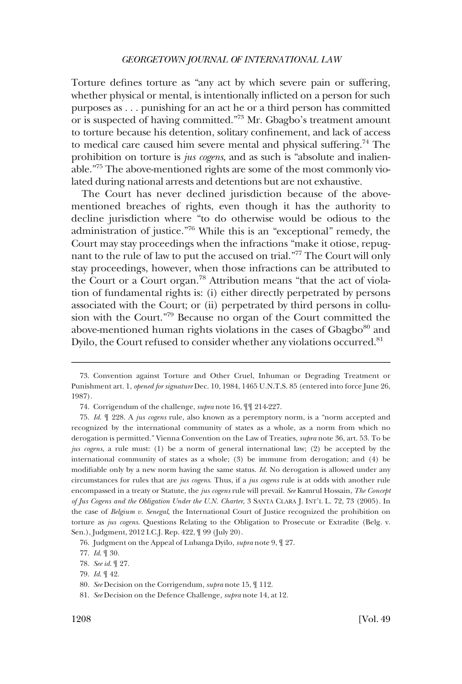Torture defines torture as "any act by which severe pain or suffering, whether physical or mental, is intentionally inflicted on a person for such purposes as . . . punishing for an act he or a third person has committed or is suspected of having committed."73 Mr. Gbagbo's treatment amount to torture because his detention, solitary confinement, and lack of access to medical care caused him severe mental and physical suffering.74 The prohibition on torture is *jus cogens*, and as such is "absolute and inalienable."75 The above-mentioned rights are some of the most commonly violated during national arrests and detentions but are not exhaustive.

The Court has never declined jurisdiction because of the abovementioned breaches of rights, even though it has the authority to decline jurisdiction where "to do otherwise would be odious to the administration of justice."76 While this is an "exceptional" remedy, the Court may stay proceedings when the infractions "make it otiose, repugnant to the rule of law to put the accused on trial."77 The Court will only stay proceedings, however, when those infractions can be attributed to the Court or a Court organ.<sup>78</sup> Attribution means "that the act of violation of fundamental rights is: (i) either directly perpetrated by persons associated with the Court; or (ii) perpetrated by third persons in collusion with the Court."79 Because no organ of the Court committed the above-mentioned human rights violations in the cases of Gbagbo<sup>80</sup> and Dyilo, the Court refused to consider whether any violations occurred.<sup>81</sup>

<sup>73.</sup> Convention against Torture and Other Cruel, Inhuman or Degrading Treatment or Punishment art. 1, *opened for signature* Dec. 10, 1984, 1465 U.N.T.S. 85 (entered into force June 26, 1987).

<sup>74.</sup> Corrigendum of the challenge, *supra* note 16, ¶¶ 214-227.

<sup>75.</sup> *Id*. ¶ 228. A *jus cogens* rule, also known as a peremptory norm, is a "norm accepted and recognized by the international community of states as a whole, as a norm from which no derogation is permitted." Vienna Convention on the Law of Treaties, *supra* note 36, art. 53. To be *jus cogens*, a rule must: (1) be a norm of general international law; (2) be accepted by the international community of states as a whole; (3) be immune from derogation; and (4) be modifiable only by a new norm having the same status. *Id*. No derogation is allowed under any circumstances for rules that are *jus cogens*. Thus, if a *jus cogens* rule is at odds with another rule encompassed in a treaty or Statute, the *jus cogens* rule will prevail. *See* Kamrul Hossain, *The Concept of Jus Cogens and the Obligation Under the U.N. Charter*, 3 SANTA CLARA J. INT'L L. 72, 73 (2005). In the case of *Belgium v. Senegal*, the International Court of Justice recognized the prohibition on torture as *jus cogens*. Questions Relating to the Obligation to Prosecute or Extradite (Belg. v. Sen.), Judgment, 2012 I.C.J. Rep. 422, ¶ 99 (July 20).

<sup>76.</sup> Judgment on the Appeal of Lubanga Dyilo, *supra* note 9, ¶ 27.

<sup>77.</sup> *Id*. ¶ 30.

<sup>78.</sup> *See id*. ¶ 27.

<sup>79.</sup> *Id*. ¶ 42.

<sup>80.</sup> *See* Decision on the Corrigendum, *supra* note 15, ¶ 112.

<sup>81.</sup> *See* Decision on the Defence Challenge*, supra* note 14, at 12.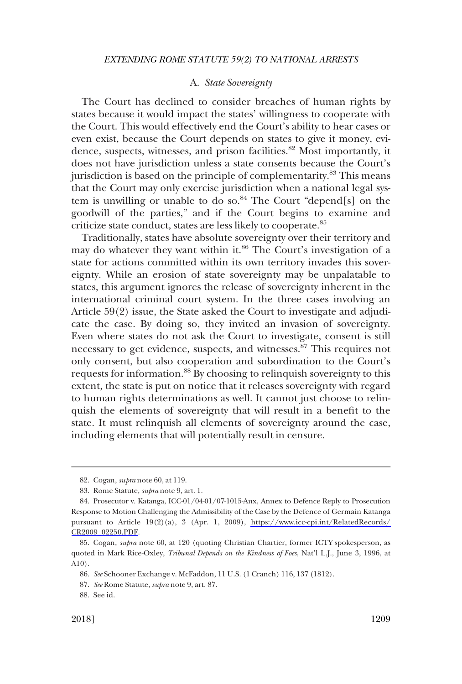### A. *State Sovereignty*

<span id="page-12-0"></span>The Court has declined to consider breaches of human rights by states because it would impact the states' willingness to cooperate with the Court. This would effectively end the Court's ability to hear cases or even exist, because the Court depends on states to give it money, evidence, suspects, witnesses, and prison facilities.<sup>82</sup> Most importantly, it does not have jurisdiction unless a state consents because the Court's jurisdiction is based on the principle of complementarity.<sup>83</sup> This means that the Court may only exercise jurisdiction when a national legal system is unwilling or unable to do so. $84$  The Court "depend[s] on the goodwill of the parties," and if the Court begins to examine and criticize state conduct, states are less likely to cooperate.<sup>85</sup>

Traditionally, states have absolute sovereignty over their territory and may do whatever they want within it.<sup>86</sup> The Court's investigation of a state for actions committed within its own territory invades this sovereignty. While an erosion of state sovereignty may be unpalatable to states, this argument ignores the release of sovereignty inherent in the international criminal court system. In the three cases involving an Article 59(2) issue, the State asked the Court to investigate and adjudicate the case. By doing so, they invited an invasion of sovereignty. Even where states do not ask the Court to investigate, consent is still necessary to get evidence, suspects, and witnesses.<sup>87</sup> This requires not only consent, but also cooperation and subordination to the Court's requests for information.88 By choosing to relinquish sovereignty to this extent, the state is put on notice that it releases sovereignty with regard to human rights determinations as well. It cannot just choose to relinquish the elements of sovereignty that will result in a benefit to the state. It must relinquish all elements of sovereignty around the case, including elements that will potentially result in censure.

<sup>82.</sup> Cogan, *supra* note 60, at 119.

<sup>83.</sup> Rome Statute, *supra* note 9, art. 1.

<sup>84.</sup> Prosecutor v. Katanga, ICC-01/04-01/07-1015-Anx, Annex to Defence Reply to Prosecution Response to Motion Challenging the Admissibility of the Case by the Defence of Germain Katanga pursuant to Article 19(2)(a), 3 (Apr. 1, 2009), [https://www.icc-cpi.int/RelatedRecords/](https://www.icc-cpi.int/RelatedRecords/CR2009_02250.PDF) [CR2009\\_02250.PDF](https://www.icc-cpi.int/RelatedRecords/CR2009_02250.PDF).

<sup>85.</sup> Cogan, *supra* note 60, at 120 (quoting Christian Chartier, former ICTY spokesperson, as quoted in Mark Rice-Oxley, *Tribunal Depends on the Kindness of Foes*, Nat'l L.J., June 3, 1996, at A10).

<sup>86.</sup> *See* Schooner Exchange v. McFaddon, 11 U.S. (1 Cranch) 116, 137 (1812).

<sup>87.</sup> *See* Rome Statute, *supra* note 9, art. 87.

<sup>88.</sup> See id.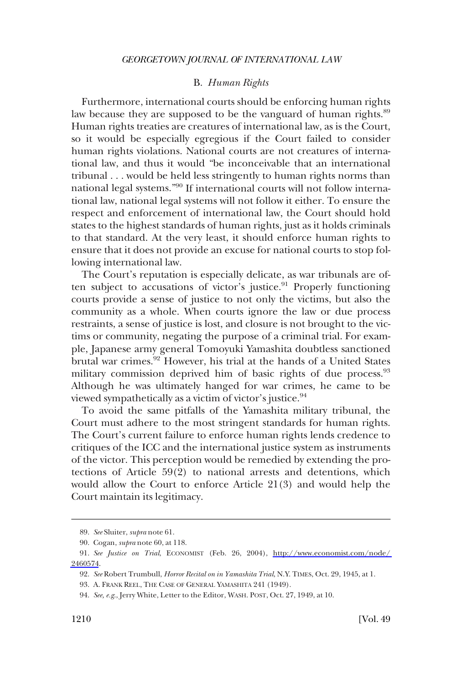### B. *Human Rights*

<span id="page-13-0"></span>Furthermore, international courts should be enforcing human rights law because they are supposed to be the vanguard of human rights.<sup>89</sup> Human rights treaties are creatures of international law, as is the Court, so it would be especially egregious if the Court failed to consider human rights violations. National courts are not creatures of international law, and thus it would "be inconceivable that an international tribunal . . . would be held less stringently to human rights norms than national legal systems."90 If international courts will not follow international law, national legal systems will not follow it either. To ensure the respect and enforcement of international law, the Court should hold states to the highest standards of human rights, just as it holds criminals to that standard. At the very least, it should enforce human rights to ensure that it does not provide an excuse for national courts to stop following international law.

The Court's reputation is especially delicate, as war tribunals are often subject to accusations of victor's justice.<sup>91</sup> Properly functioning courts provide a sense of justice to not only the victims, but also the community as a whole. When courts ignore the law or due process restraints, a sense of justice is lost, and closure is not brought to the victims or community, negating the purpose of a criminal trial. For example, Japanese army general Tomoyuki Yamashita doubtless sanctioned brutal war crimes.<sup>92</sup> However, his trial at the hands of a United States military commission deprived him of basic rights of due process.<sup>93</sup> Although he was ultimately hanged for war crimes, he came to be viewed sympathetically as a victim of victor's justice.94

To avoid the same pitfalls of the Yamashita military tribunal, the Court must adhere to the most stringent standards for human rights. The Court's current failure to enforce human rights lends credence to critiques of the ICC and the international justice system as instruments of the victor. This perception would be remedied by extending the protections of Article 59(2) to national arrests and detentions, which would allow the Court to enforce Article 21(3) and would help the Court maintain its legitimacy.

<sup>89.</sup> *See* Sluiter, *supra* note 61.

<sup>90.</sup> Cogan, *supra* note 60, at 118.

*See Justice on Trial*, ECONOMIST (Feb. 26, 2004), [http://www.economist.com/node/](http://www.economist.com/node/2460574)  91. [2460574](http://www.economist.com/node/2460574).

<sup>92.</sup> *See* Robert Trumbull, *Horror Recital on in Yamashita Trial*, N.Y. TIMES, Oct. 29, 1945, at 1.

<sup>93.</sup> A. FRANK REEL, THE CASE OF GENERAL YAMASHITA 241 (1949).

<sup>94.</sup> *See, e.g*., Jerry White, Letter to the Editor, WASH. POST, Oct. 27, 1949, at 10.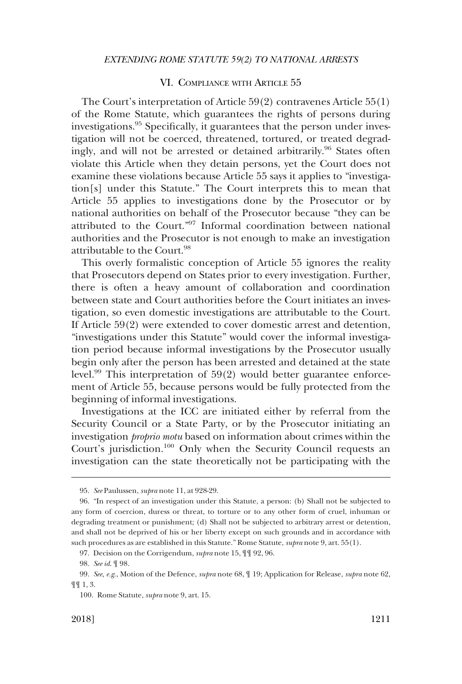### VI. COMPLIANCE WITH ARTICLE 55

<span id="page-14-0"></span>The Court's interpretation of Article 59(2) contravenes Article 55(1) of the Rome Statute, which guarantees the rights of persons during investigations.95 Specifically, it guarantees that the person under investigation will not be coerced, threatened, tortured, or treated degradingly, and will not be arrested or detained arbitrarily.<sup>96</sup> States often violate this Article when they detain persons, yet the Court does not examine these violations because Article 55 says it applies to "investigation[s] under this Statute." The Court interprets this to mean that Article 55 applies to investigations done by the Prosecutor or by national authorities on behalf of the Prosecutor because "they can be attributed to the Court."97 Informal coordination between national authorities and the Prosecutor is not enough to make an investigation attributable to the Court.98

This overly formalistic conception of Article 55 ignores the reality that Prosecutors depend on States prior to every investigation. Further, there is often a heavy amount of collaboration and coordination between state and Court authorities before the Court initiates an investigation, so even domestic investigations are attributable to the Court. If Article 59(2) were extended to cover domestic arrest and detention, "investigations under this Statute" would cover the informal investigation period because informal investigations by the Prosecutor usually begin only after the person has been arrested and detained at the state level.99 This interpretation of 59(2) would better guarantee enforcement of Article 55, because persons would be fully protected from the beginning of informal investigations.

Investigations at the ICC are initiated either by referral from the Security Council or a State Party, or by the Prosecutor initiating an investigation *proprio motu* based on information about crimes within the Court's jurisdiction.100 Only when the Security Council requests an investigation can the state theoretically not be participating with the

<sup>95.</sup> *See* Paulussen, *supra* note 11, at 928-29.

<sup>96. &</sup>quot;In respect of an investigation under this Statute, a person: (b) Shall not be subjected to any form of coercion, duress or threat, to torture or to any other form of cruel, inhuman or degrading treatment or punishment; (d) Shall not be subjected to arbitrary arrest or detention, and shall not be deprived of his or her liberty except on such grounds and in accordance with such procedures as are established in this Statute." Rome Statute, *supra* note 9, art. 55(1).

<sup>97.</sup> Decision on the Corrigendum, *supra* note 15, ¶¶ 92, 96.

<sup>98.</sup> *See id*. ¶ 98.

<sup>99.</sup> *See, e.g*., Motion of the Defence, *supra* note 68, ¶ 19; Application for Release, *supra* note 62, ¶¶ 1, 3.

<sup>100.</sup> Rome Statute, *supra* note 9, art. 15.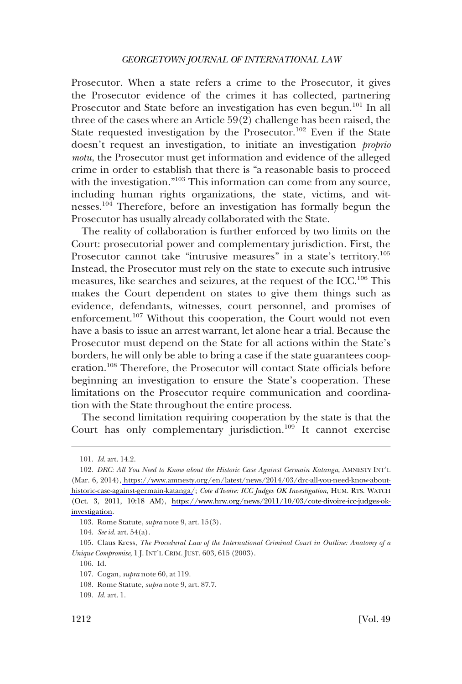Prosecutor. When a state refers a crime to the Prosecutor, it gives the Prosecutor evidence of the crimes it has collected, partnering Prosecutor and State before an investigation has even begun.<sup>101</sup> In all three of the cases where an Article 59(2) challenge has been raised, the State requested investigation by the Prosecutor.<sup>102</sup> Even if the State doesn't request an investigation, to initiate an investigation *proprio motu*, the Prosecutor must get information and evidence of the alleged crime in order to establish that there is "a reasonable basis to proceed with the investigation."103 This information can come from any source, including human rights organizations, the state, victims, and witnesses.104 Therefore, before an investigation has formally begun the Prosecutor has usually already collaborated with the State.

The reality of collaboration is further enforced by two limits on the Court: prosecutorial power and complementary jurisdiction. First, the Prosecutor cannot take "intrusive measures" in a state's territory.<sup>105</sup> Instead, the Prosecutor must rely on the state to execute such intrusive measures, like searches and seizures, at the request of the ICC.106 This makes the Court dependent on states to give them things such as evidence, defendants, witnesses, court personnel, and promises of enforcement.<sup>107</sup> Without this cooperation, the Court would not even have a basis to issue an arrest warrant, let alone hear a trial. Because the Prosecutor must depend on the State for all actions within the State's borders, he will only be able to bring a case if the state guarantees cooperation.<sup>108</sup> Therefore, the Prosecutor will contact State officials before beginning an investigation to ensure the State's cooperation. These limitations on the Prosecutor require communication and coordination with the State throughout the entire process.

The second limitation requiring cooperation by the state is that the Court has only complementary jurisdiction.<sup>109</sup> It cannot exercise

106. Id.

<sup>101.</sup> *Id*. art. 14.2.

*DRC: All You Need to Know about the Historic Case Against Germain Katanga*, AMNESTY INT'L 102. (Mar. 6, 2014), [https://www.amnesty.org/en/latest/news/2014/03/drc-all-you-need-know-about](https://www.amnesty.org/en/latest/news/2014/03/drc-all-you-need-know-about-historic-case-against-germain-katanga/)[historic-case-against-germain-katanga/](https://www.amnesty.org/en/latest/news/2014/03/drc-all-you-need-know-about-historic-case-against-germain-katanga/); *Cote d'Ivoire: ICC Judges OK Investigation*, HUM. RTS. WATCH (Oct. 3, 2011, 10:18 AM), [https://www.hrw.org/news/2011/10/03/cote-divoire-icc-judges-ok](https://www.hrw.org/news/2011/10/03/cote-divoire-icc-judges-ok-investigation)[investigation](https://www.hrw.org/news/2011/10/03/cote-divoire-icc-judges-ok-investigation).

<sup>103.</sup> Rome Statute, *supra* note 9, art. 15(3).

<sup>104.</sup> *See id*. art. 54(a).

<sup>105.</sup> Claus Kress, *The Procedural Law of the International Criminal Court in Outline: Anatomy of a Unique Compromise*, 1 J. INT'L CRIM. JUST. 603, 615 (2003).

<sup>107.</sup> Cogan, *supra* note 60, at 119.

<sup>108.</sup> Rome Statute, *supra* note 9, art. 87.7.

<sup>109.</sup> *Id*. art. 1.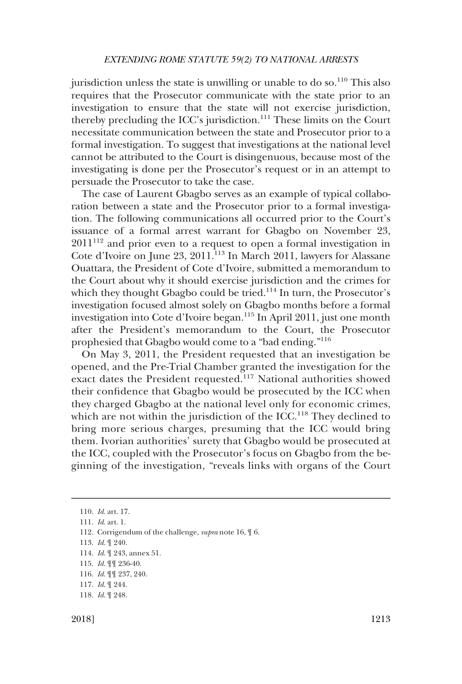jurisdiction unless the state is unwilling or unable to do so. $110$  This also requires that the Prosecutor communicate with the state prior to an investigation to ensure that the state will not exercise jurisdiction, thereby precluding the ICC's jurisdiction. $111$  These limits on the Court necessitate communication between the state and Prosecutor prior to a formal investigation. To suggest that investigations at the national level cannot be attributed to the Court is disingenuous, because most of the investigating is done per the Prosecutor's request or in an attempt to persuade the Prosecutor to take the case.

The case of Laurent Gbagbo serves as an example of typical collaboration between a state and the Prosecutor prior to a formal investigation. The following communications all occurred prior to the Court's issuance of a formal arrest warrant for Gbagbo on November 23,  $2011^{112}$  and prior even to a request to open a formal investigation in Cote d'Ivoire on June 23, 2011.<sup>113</sup> In March 2011, lawyers for Alassane Ouattara, the President of Cote d'Ivoire, submitted a memorandum to the Court about why it should exercise jurisdiction and the crimes for which they thought Gbagbo could be tried.<sup>114</sup> In turn, the Prosecutor's investigation focused almost solely on Gbagbo months before a formal investigation into Cote d'Ivoire began.<sup>115</sup> In April 2011, just one month after the President's memorandum to the Court, the Prosecutor prophesied that Gbagbo would come to a "bad ending."<sup>116</sup>

On May 3, 2011, the President requested that an investigation be opened, and the Pre-Trial Chamber granted the investigation for the exact dates the President requested.<sup>117</sup> National authorities showed their confidence that Gbagbo would be prosecuted by the ICC when they charged Gbagbo at the national level only for economic crimes, which are not within the jurisdiction of the ICC.<sup>118</sup> They declined to bring more serious charges, presuming that the ICC would bring them. Ivorian authorities' surety that Gbagbo would be prosecuted at the ICC, coupled with the Prosecutor's focus on Gbagbo from the beginning of the investigation, "reveals links with organs of the Court

<sup>110.</sup> *Id*. art. 17.

<sup>111.</sup> *Id*. art. 1.

<sup>112.</sup> Corrigendum of the challenge, *supra* note 16, ¶ 6.

<sup>113.</sup> *Id*. ¶ 240.

<sup>114.</sup> *Id*. ¶ 243, annex 51.

<sup>115.</sup> *Id*. ¶¶ 236-40.

<sup>116.</sup> *Id*. ¶¶ 237, 240.

<sup>117.</sup> *Id*. ¶ 244.

<sup>118.</sup> *Id*. ¶ 248.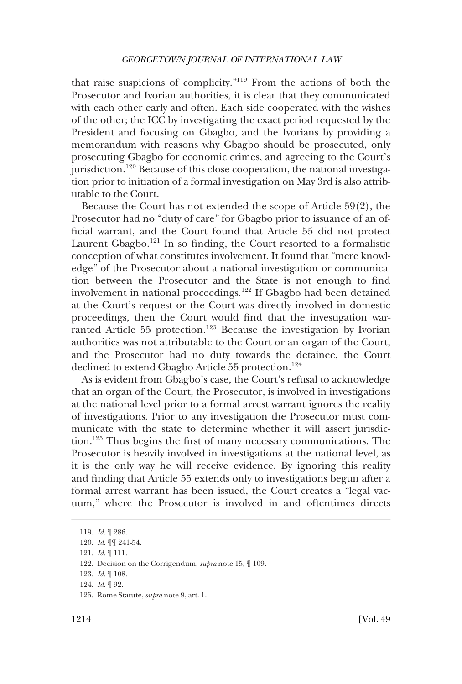that raise suspicions of complicity."119 From the actions of both the Prosecutor and Ivorian authorities, it is clear that they communicated with each other early and often. Each side cooperated with the wishes of the other; the ICC by investigating the exact period requested by the President and focusing on Gbagbo, and the Ivorians by providing a memorandum with reasons why Gbagbo should be prosecuted, only prosecuting Gbagbo for economic crimes, and agreeing to the Court's jurisdiction.<sup>120</sup> Because of this close cooperation, the national investigation prior to initiation of a formal investigation on May 3rd is also attributable to the Court.

Because the Court has not extended the scope of Article 59(2), the Prosecutor had no "duty of care" for Gbagbo prior to issuance of an official warrant, and the Court found that Article 55 did not protect Laurent Gbagbo.<sup>121</sup> In so finding, the Court resorted to a formalistic conception of what constitutes involvement. It found that "mere knowledge" of the Prosecutor about a national investigation or communication between the Prosecutor and the State is not enough to find involvement in national proceedings.122 If Gbagbo had been detained at the Court's request or the Court was directly involved in domestic proceedings, then the Court would find that the investigation warranted Article 55 protection.<sup>123</sup> Because the investigation by Ivorian authorities was not attributable to the Court or an organ of the Court, and the Prosecutor had no duty towards the detainee, the Court declined to extend Gbagbo Article 55 protection.<sup>124</sup>

As is evident from Gbagbo's case, the Court's refusal to acknowledge that an organ of the Court, the Prosecutor, is involved in investigations at the national level prior to a formal arrest warrant ignores the reality of investigations. Prior to any investigation the Prosecutor must communicate with the state to determine whether it will assert jurisdiction.125 Thus begins the first of many necessary communications. The Prosecutor is heavily involved in investigations at the national level, as it is the only way he will receive evidence. By ignoring this reality and finding that Article 55 extends only to investigations begun after a formal arrest warrant has been issued, the Court creates a "legal vacuum," where the Prosecutor is involved in and oftentimes directs

<sup>119.</sup> *Id*. ¶ 286.

<sup>120.</sup> *Id*. ¶¶ 241-54.

<sup>121.</sup> *Id*. ¶ 111.

<sup>122.</sup> Decision on the Corrigendum, *supra* note 15, ¶ 109.

<sup>123.</sup> *Id*. ¶ 108.

<sup>124.</sup> *Id*. ¶ 92.

<sup>125.</sup> Rome Statute, *supra* note 9, art. 1.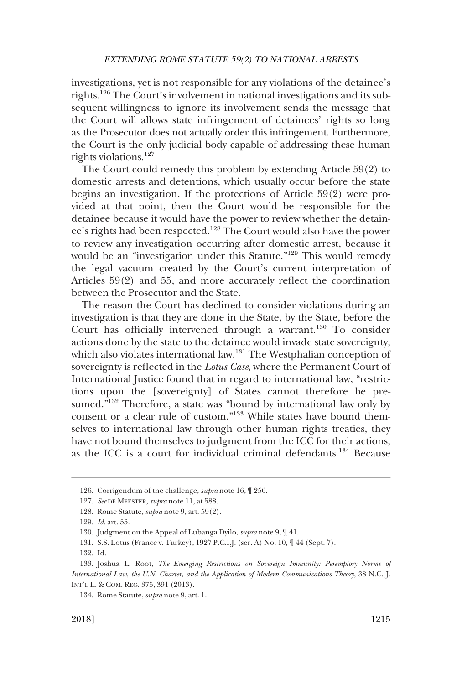investigations, yet is not responsible for any violations of the detainee's rights.126 The Court's involvement in national investigations and its subsequent willingness to ignore its involvement sends the message that the Court will allows state infringement of detainees' rights so long as the Prosecutor does not actually order this infringement. Furthermore, the Court is the only judicial body capable of addressing these human rights violations.127

The Court could remedy this problem by extending Article 59(2) to domestic arrests and detentions, which usually occur before the state begins an investigation. If the protections of Article 59(2) were provided at that point, then the Court would be responsible for the detainee because it would have the power to review whether the detainee's rights had been respected.128 The Court would also have the power to review any investigation occurring after domestic arrest, because it would be an "investigation under this Statute."129 This would remedy the legal vacuum created by the Court's current interpretation of Articles 59(2) and 55, and more accurately reflect the coordination between the Prosecutor and the State.

The reason the Court has declined to consider violations during an investigation is that they are done in the State, by the State, before the Court has officially intervened through a warrant.<sup>130</sup> To consider actions done by the state to the detainee would invade state sovereignty, which also violates international law.<sup>131</sup> The Westphalian conception of sovereignty is reflected in the *Lotus Case*, where the Permanent Court of International Justice found that in regard to international law, "restrictions upon the [sovereignty] of States cannot therefore be presumed."<sup>132</sup> Therefore, a state was "bound by international law only by consent or a clear rule of custom."133 While states have bound themselves to international law through other human rights treaties, they have not bound themselves to judgment from the ICC for their actions, as the ICC is a court for individual criminal defendants.134 Because

<sup>126.</sup> Corrigendum of the challenge, *supra* note 16, ¶ 256.

<sup>127.</sup> *See* DE MEESTER, *supra* note 11, at 588.

<sup>128.</sup> Rome Statute, *supra* note 9, art. 59(2).

<sup>129.</sup> *Id*. art. 55.

<sup>130.</sup> Judgment on the Appeal of Lubanga Dyilo, *supra* note 9, ¶ 41.

<sup>131.</sup> S.S. Lotus (France v. Turkey), 1927 P.C.I.J. (ser. A) No. 10, ¶ 44 (Sept. 7).

<sup>132.</sup> Id.

<sup>133.</sup> Joshua L. Root, *The Emerging Restrictions on Sovereign Immunity: Peremptory Norms of International Law, the U.N. Charter, and the Application of Modern Communications Theory*, 38 N.C. J. INT'L L. & COM. REG. 375, 391 (2013).

<sup>134.</sup> Rome Statute, *supra* note 9, art. 1.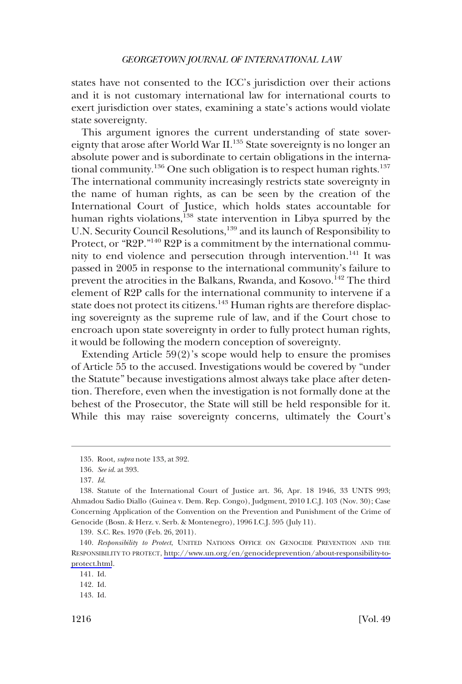states have not consented to the ICC's jurisdiction over their actions and it is not customary international law for international courts to exert jurisdiction over states, examining a state's actions would violate state sovereignty.

This argument ignores the current understanding of state sovereignty that arose after World War II.<sup>135</sup> State sovereignty is no longer an absolute power and is subordinate to certain obligations in the international community.<sup>136</sup> One such obligation is to respect human rights.<sup>137</sup> The international community increasingly restricts state sovereignty in the name of human rights, as can be seen by the creation of the International Court of Justice, which holds states accountable for human rights violations,<sup>138</sup> state intervention in Libya spurred by the U.N. Security Council Resolutions,<sup>139</sup> and its launch of Responsibility to Protect, or "R2P."<sup>140</sup> R2P is a commitment by the international community to end violence and persecution through intervention.<sup>141</sup> It was passed in 2005 in response to the international community's failure to prevent the atrocities in the Balkans, Rwanda, and Kosovo.<sup>142</sup> The third element of R2P calls for the international community to intervene if a state does not protect its citizens.<sup>143</sup> Human rights are therefore displacing sovereignty as the supreme rule of law, and if the Court chose to encroach upon state sovereignty in order to fully protect human rights, it would be following the modern conception of sovereignty.

Extending Article 59(2)'s scope would help to ensure the promises of Article 55 to the accused. Investigations would be covered by "under the Statute" because investigations almost always take place after detention. Therefore, even when the investigation is not formally done at the behest of the Prosecutor, the State will still be held responsible for it. While this may raise sovereignty concerns, ultimately the Court's

<sup>135.</sup> Root, *supra* note 133, at 392.

<sup>136.</sup> *See id*. at 393.

<sup>137.</sup> *Id*.

<sup>138.</sup> Statute of the International Court of Justice art. 36, Apr. 18 1946, 33 UNTS 993; Ahmadou Sadio Diallo (Guinea v. Dem. Rep. Congo), Judgment, 2010 I.C.J. 103 (Nov. 30); Case Concerning Application of the Convention on the Prevention and Punishment of the Crime of Genocide (Bosn. & Herz. v. Serb. & Montenegro), 1996 I.C.J. 595 (July 11).

<sup>139.</sup> S.C. Res. 1970 (Feb. 26, 2011).

<sup>140.</sup> Responsibility to Protect, UNITED NATIONS OFFICE ON GENOCIDE PREVENTION AND THE RESPONSIBILITY TO PROTECT, [http://www.un.org/en/genocideprevention/about-responsibility-to](http://www.un.org/en/genocideprevention/about-responsibility-to-protect.html)[protect.html](http://www.un.org/en/genocideprevention/about-responsibility-to-protect.html).

<sup>141.</sup> Id.

<sup>142.</sup> Id.

<sup>143.</sup> Id.